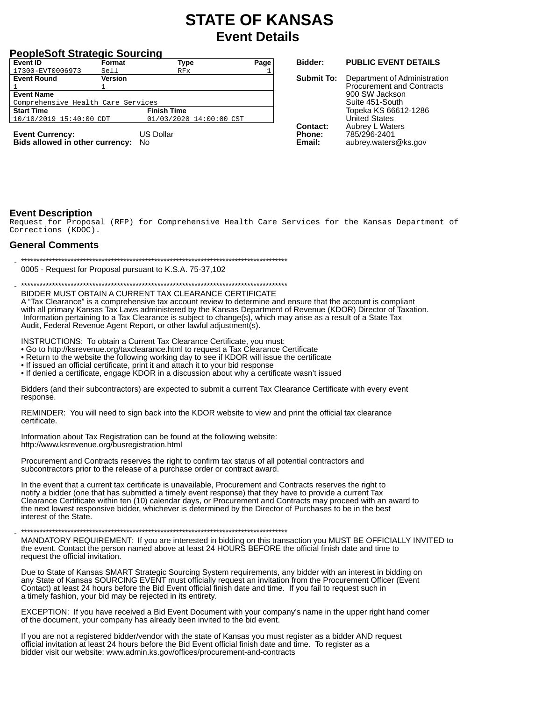# **STATE OF KANSAS Event Details**

### **PeopleSoft Strategic Sourcing**

| Event ID                           | Format         | Type                    | Page |
|------------------------------------|----------------|-------------------------|------|
| 17300-EVT0006973                   | Sell           | RFx                     |      |
| <b>Event Round</b>                 | <b>Version</b> |                         |      |
|                                    |                |                         |      |
| <b>Event Name</b>                  |                |                         |      |
| Comprehensive Health Care Services |                |                         |      |
| <b>Start Time</b>                  |                | <b>Finish Time</b>      |      |
| 10/10/2019 15:40:00 CDT            |                | 01/03/2020 14:00:00 CST |      |
| <b>Fyent Currency</b>              |                | <b>US Dollar</b>        |      |
|                                    |                |                         |      |

**Event Currency:** Bids allowed in other currency: No

#### Bidder: **PUBLIC EVENT DETAILS** Submit To: Department of Administration **Procurement and Contracts** 900 SW Jackson Suite 451-South Topeka KS 66612-1286 **United States Contact:** Aubrey L Waters Phone: 785/296-2401

aubrey.waters@ks.gov

Fmail:

## **Event Description**

Request for Proposal (RFP) for Comprehensive Health Care Services for the Kansas Department of Corrections (KDOC).

#### **General Comments**

0005 - Request for Proposal pursuant to K.S.A. 75-37,102

BIDDER MUST OBTAIN A CURRENT TAX CLEARANCE CERTIFICATE

A "Tax Clearance" is a comprehensive tax account review to determine and ensure that the account is compliant with all primary Kansas Tax Laws administered by the Kansas Department of Revenue (KDOR) Director of Taxation. Information pertaining to a Tax Clearance is subject to change(s), which may arise as a result of a State Tax Audit, Federal Revenue Agent Report, or other lawful adjustment(s).

INSTRUCTIONS: To obtain a Current Tax Clearance Certificate, you must:

• Go to http://ksrevenue.org/taxclearance.html to request a Tax Clearance Certificate

• Return to the website the following working day to see if KDOR will issue the certificate

- 
- If issued an official certificate, print it and attach it to your bid response<br>• If denied a certificate, engage KDOR in a discussion about why a certificate wasn't issued

Bidders (and their subcontractors) are expected to submit a current Tax Clearance Certificate with every event response.

REMINDER: You will need to sign back into the KDOR website to view and print the official tax clearance certificate.

Information about Tax Registration can be found at the following website: http://www.ksrevenue.org/busregistration.html

Procurement and Contracts reserves the right to confirm tax status of all potential contractors and subcontractors prior to the release of a purchase order or contract award.

In the event that a current tax certificate is unavailable, Procurement and Contracts reserves the right to notify a bidder (one that has submitted a timely event response) that they have to provide a current Tax Clearance Certificate within ten (10) calendar days, or Procurement and Contracts may proceed with an award to the next lowest responsive bidder, whichever is determined by the Director of Purchases to be in the best interest of the State

#### 

MANDATORY REQUIREMENT: If you are interested in bidding on this transaction you MUST BE OFFICIALLY INVITED to the event. Contact the person named above at least 24 HOURS BEFORE the official finish date and time to request the official invitation.

Due to State of Kansas SMART Strategic Sourcing System requirements, any bidder with an interest in bidding on<br>any State of Kansas SOURCING EVENT must officially request an invitation from the Procurement Officer (Event Contact) at least 24 hours before the Bid Event official finish date and time. If you fail to request such in a timely fashion, your bid may be rejected in its entirety.

EXCEPTION: If you have received a Bid Event Document with your company's name in the upper right hand corner of the document, your company has already been invited to the bid event.

If you are not a registered bidder/vendor with the state of Kansas you must register as a bidder AND request official invitation at least 24 hours before the Bid Event official finish date and time. To register as a bidder visit our website: www.admin.ks.gov/offices/procurement-and-contracts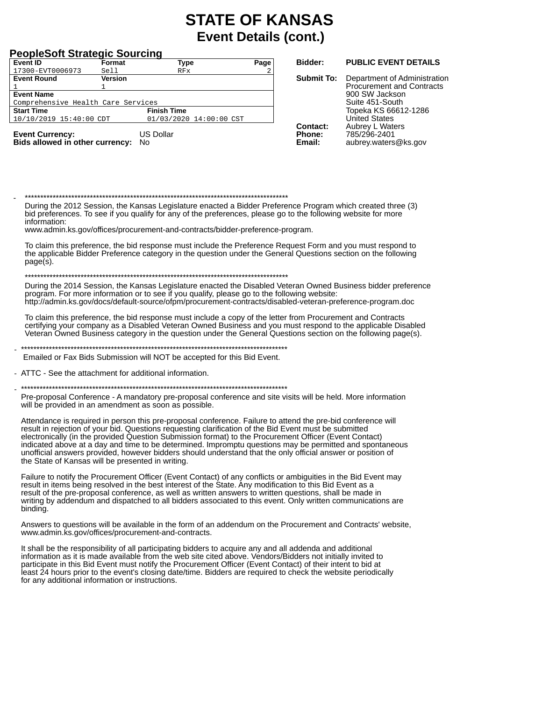### **PeopleSoft Strategic Sourcing**

| Event ID                           | Format         | Type                    | Page |
|------------------------------------|----------------|-------------------------|------|
| 17300-EVT0006973                   | Sell           | RFx                     |      |
| <b>Event Round</b>                 | <b>Version</b> |                         |      |
|                                    |                |                         |      |
| <b>Event Name</b>                  |                |                         |      |
| Comprehensive Health Care Services |                |                         |      |
| <b>Start Time</b>                  |                | <b>Finish Time</b>      |      |
| 10/10/2019 15:40:00 CDT            |                | 01/03/2020 14:00:00 CST |      |
|                                    |                |                         |      |
|                                    |                | .                       |      |

**Event Currency:** Bids allowed in other currency: No

**US Dollar** 

#### Bidder: **PUBLIC EVENT DETAILS**

Submit To: Department of Administration **Procurement and Contracts** 900 SW Jackson Suite 451-South Topeka KS 66612-1286 **United States Contact:** Aubrey L Waters Phone: 785/296-2401 Fmail: aubrey.waters@ks.gov

During the 2012 Session, the Kansas Legislature enacted a Bidder Preference Program which created three (3) bid preferences. To see if you qualify for any of the preferences, please go to the following website for more information:

www.admin.ks.gov/offices/procurement-and-contracts/bidder-preference-program.

To claim this preference, the bid response must include the Preference Request Form and you must respond to the applicable Bidder Preference category in the question under the General Questions section on the following  $page(s)$ .

#### 

During the 2014 Session, the Kansas Legislature enacted the Disabled Veteran Owned Business bidder preference program. For more information or to see if you qualify, please go to the following website: http://admin.ks.gov/docs/default-source/ofpm/procurement-contracts/disabled-veteran-preference-program.doc

To claim this preference, the bid response must include a copy of the letter from Procurement and Contracts certifying your company as a Disabled Veteran Owned Business and you must respond to the applicable Disabled Veteran Owned Business category in the question under the General Questions section on the following page(s).

Emailed or Fax Bids Submission will NOT be accepted for this Bid Event.

- ATTC - See the attachment for additional information.

Pre-proposal Conference - A mandatory pre-proposal conference and site visits will be held. More information will be provided in an amendment as soon as possible.

Attendance is required in person this pre-proposal conference. Failure to attend the pre-bid conference will result in rejection of your bid. Questions requesting clarification of the Bid Event must be submitted electronically (in the provided Question Submission format) to the Procurement Officer (Event Contact) indicated above at a day and time to be determined. Impromptu questions may be permitted and spontaneous unofficial answers provided, however bidders should understand that the only official answer or position of the State of Kansas will be presented in writing.

Failure to notify the Procurement Officer (Event Contact) of any conflicts or ambiguities in the Bid Event may result in items being resolved in the best interest of the State. Any modification to this Bid Event as a result of the pre-proposal conference, as well as written answers to written questions, shall be made in writing by addendum and dispatched to all bidders associated to this event. Only written communications are binding.

Answers to questions will be available in the form of an addendum on the Procurement and Contracts' website, www.admin.ks.gov/offices/procurement-and-contracts.

It shall be the responsibility of all participating bidders to acquire any and all addenda and additional information as it is made available from the web site cited above. Vendors/Bidders not initially invited to participate in this Bid Event must notify the Procurement Officer (Event Contact) of their intent to bid at least 24 hours prior to the event's closing date/time. Bidders are required to check the website periodically for any additional information or instructions.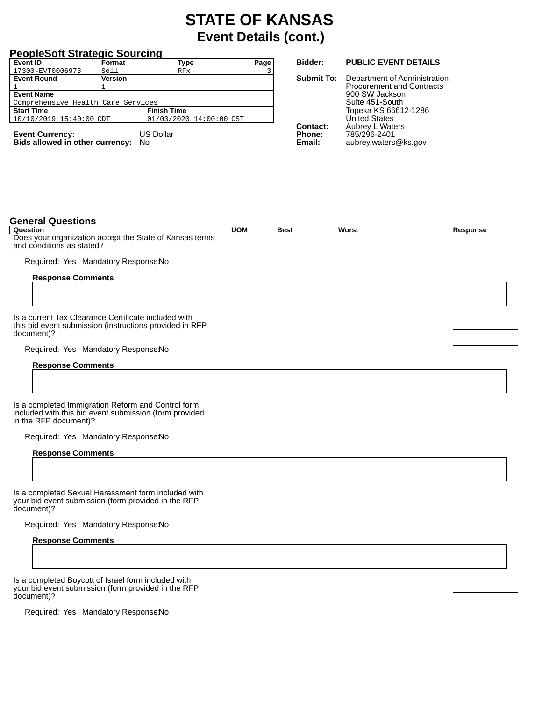### **PeopleSoft Strategic Sourcing**

| <b>Event ID</b>                    | Format         | <b>Type</b>             | Page |
|------------------------------------|----------------|-------------------------|------|
| 17300-EVT0006973                   | Sell           | RFx                     |      |
| <b>Event Round</b>                 | <b>Version</b> |                         |      |
|                                    |                |                         |      |
| <b>Event Name</b>                  |                |                         |      |
| Comprehensive Health Care Services |                |                         |      |
| <b>Start Time</b>                  |                | <b>Finish Time</b>      |      |
| 10/10/2019 15:40:00 CDT            |                | 01/03/2020 14:00:00 CST |      |
|                                    |                |                         |      |
| <b>Event Currency:</b>             |                | <b>US Dollar</b>        |      |

**Bids allowed in other currency:** No

**Bidder: PUBLIC EVENT DETAILS**

**Submit To:** Department of Administration Procurement and Contracts 900 SW Jackson Suite 451-South Topeka KS 66612-1286 United States **Contact:** Aubrey L Waters **Phone:** 785/296-2401 **Email:** aubrey.waters@ks.gov

| <b>General Questions</b>                                                                                                              |            |             |              |                 |
|---------------------------------------------------------------------------------------------------------------------------------------|------------|-------------|--------------|-----------------|
| Question                                                                                                                              | <b>UOM</b> | <b>Best</b> | <b>Worst</b> | <b>Response</b> |
| Does your organization accept the State of Kansas terms<br>and conditions as stated?                                                  |            |             |              |                 |
| Required: Yes Mandatory ResponseNo                                                                                                    |            |             |              |                 |
| <b>Response Comments</b>                                                                                                              |            |             |              |                 |
|                                                                                                                                       |            |             |              |                 |
| Is a current Tax Clearance Certificate included with<br>this bid event submission (instructions provided in RFP<br>document)?         |            |             |              |                 |
| Required: Yes Mandatory ResponseNo                                                                                                    |            |             |              |                 |
| <b>Response Comments</b>                                                                                                              |            |             |              |                 |
|                                                                                                                                       |            |             |              |                 |
| Is a completed Immigration Reform and Control form<br>included with this bid event submission (form provided<br>in the RFP document)? |            |             |              |                 |
| Required: Yes Mandatory ResponseNo                                                                                                    |            |             |              |                 |
| <b>Response Comments</b>                                                                                                              |            |             |              |                 |
|                                                                                                                                       |            |             |              |                 |
| Is a completed Sexual Harassment form included with<br>your bid event submission (form provided in the RFP                            |            |             |              |                 |
| document)?                                                                                                                            |            |             |              |                 |
| Required: Yes Mandatory ResponseNo                                                                                                    |            |             |              |                 |
| <b>Response Comments</b>                                                                                                              |            |             |              |                 |
|                                                                                                                                       |            |             |              |                 |
| Is a completed Boycott of Israel form included with<br>your bid event submission (form provided in the RFP                            |            |             |              |                 |
| document)?                                                                                                                            |            |             |              |                 |

Required: Yes Mandatory ResponseNo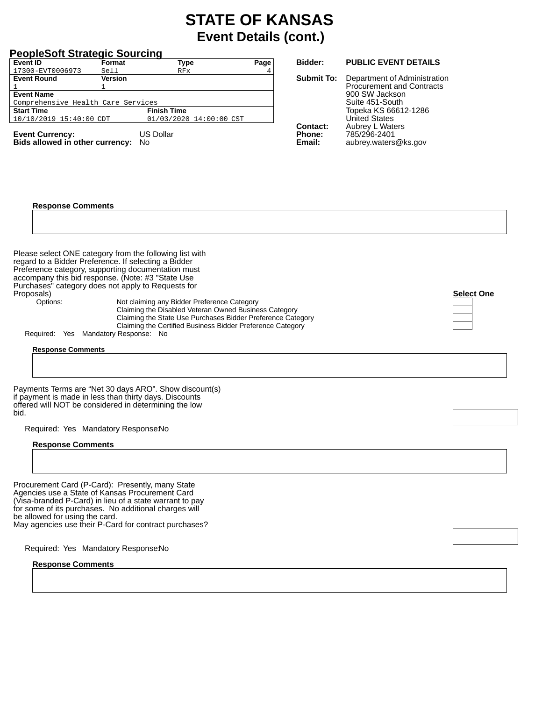| <b>PeopleSoft Strategic Sourcing</b><br>Event ID<br>Format<br><b>Type</b><br>Page                                                                                                                                                                                                                                                                                                                                                                                                                                                                                                       | <b>Bidder:</b>                             | <b>PUBLIC EVENT DETAILS</b>                                                                                                                                                      |                   |
|-----------------------------------------------------------------------------------------------------------------------------------------------------------------------------------------------------------------------------------------------------------------------------------------------------------------------------------------------------------------------------------------------------------------------------------------------------------------------------------------------------------------------------------------------------------------------------------------|--------------------------------------------|----------------------------------------------------------------------------------------------------------------------------------------------------------------------------------|-------------------|
| 17300-EVT0006973<br>Sell<br>RFx<br><b>Event Round</b><br>Version                                                                                                                                                                                                                                                                                                                                                                                                                                                                                                                        | <b>Submit To:</b>                          | Department of Administration                                                                                                                                                     |                   |
| 1<br><b>Event Name</b><br>Comprehensive Health Care Services<br><b>Start Time</b><br><b>Finish Time</b><br>10/10/2019 15:40:00 CDT<br>01/03/2020 14:00:00 CST<br><b>US Dollar</b><br><b>Event Currency:</b><br>Bids allowed in other currency: No                                                                                                                                                                                                                                                                                                                                       | <b>Contact:</b><br><b>Phone:</b><br>Email: | <b>Procurement and Contracts</b><br>900 SW Jackson<br>Suite 451-South<br>Topeka KS 66612-1286<br><b>United States</b><br>Aubrey L Waters<br>785/296-2401<br>aubrey.waters@ks.gov |                   |
| <b>Response Comments</b>                                                                                                                                                                                                                                                                                                                                                                                                                                                                                                                                                                |                                            |                                                                                                                                                                                  |                   |
| Please select ONE category from the following list with<br>regard to a Bidder Preference. If selecting a Bidder<br>Preference category, supporting documentation must<br>accompany this bid response. (Note: #3 "State Use<br>Purchases" category does not apply to Requests for<br>Proposals)<br>Not claiming any Bidder Preference Category<br>Options:<br>Claiming the Disabled Veteran Owned Business Category<br>Claiming the State Use Purchases Bidder Preference Category<br>Claiming the Certified Business Bidder Preference Category<br>Required: Yes Mandatory Response: No |                                            |                                                                                                                                                                                  | <b>Select One</b> |
| <b>Response Comments</b>                                                                                                                                                                                                                                                                                                                                                                                                                                                                                                                                                                |                                            |                                                                                                                                                                                  |                   |
| Payments Terms are "Net 30 days ARO". Show discount(s)<br>if payment is made in less than thirty days. Discounts<br>offered will NOT be considered in determining the low<br>bid.                                                                                                                                                                                                                                                                                                                                                                                                       |                                            |                                                                                                                                                                                  |                   |
| Required: Yes Mandatory ResponseNo                                                                                                                                                                                                                                                                                                                                                                                                                                                                                                                                                      |                                            |                                                                                                                                                                                  |                   |
| <b>Response Comments</b>                                                                                                                                                                                                                                                                                                                                                                                                                                                                                                                                                                |                                            |                                                                                                                                                                                  |                   |
| Procurement Card (P-Card): Presently, many State<br>Agencies use a State of Kansas Procurement Card<br>(Visa-branded P-Card) in lieu of a state warrant to pay<br>for some of its purchases. No additional charges will<br>be allowed for using the card.<br>May agencies use their P-Card for contract purchases?                                                                                                                                                                                                                                                                      |                                            |                                                                                                                                                                                  |                   |
| Required: Yes Mandatory ResponseNo                                                                                                                                                                                                                                                                                                                                                                                                                                                                                                                                                      |                                            |                                                                                                                                                                                  |                   |
| <b>Response Comments</b>                                                                                                                                                                                                                                                                                                                                                                                                                                                                                                                                                                |                                            |                                                                                                                                                                                  |                   |
|                                                                                                                                                                                                                                                                                                                                                                                                                                                                                                                                                                                         |                                            |                                                                                                                                                                                  |                   |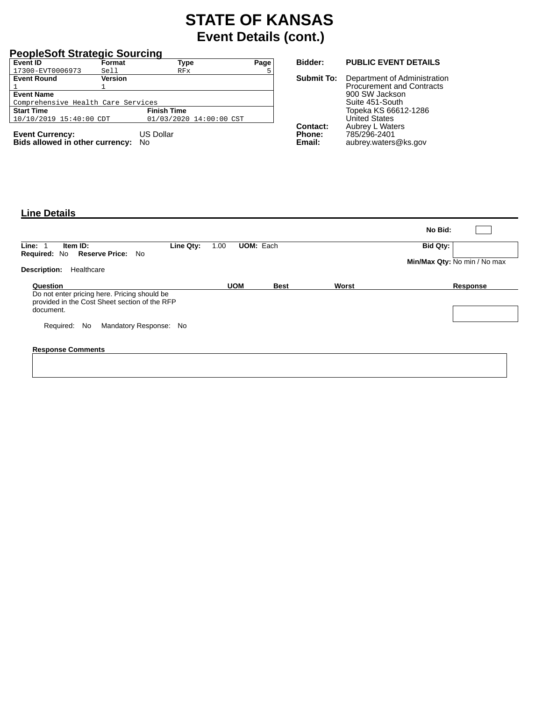### **PeopleSoft Strategic Sourcing**

| <b>Event ID</b>                    | Format         | Type                    | Page |
|------------------------------------|----------------|-------------------------|------|
| 17300-EVT0006973                   | Sell           | RFx                     |      |
| <b>Event Round</b>                 | <b>Version</b> |                         |      |
| 1                                  |                |                         |      |
| <b>Event Name</b>                  |                |                         |      |
| Comprehensive Health Care Services |                |                         |      |
| <b>Start Time</b>                  |                | <b>Finish Time</b>      |      |
| 10/10/2019 15:40:00 CDT            |                | 01/03/2020 14:00:00 CST |      |
|                                    |                |                         |      |
| <b>Event Currency:</b>             |                | <b>US Dollar</b>        |      |

**Bids allowed in other currency:** No

#### **Bidder: PUBLIC EVENT DETAILS**

**Submit To:** Department of Administration Procurement and Contracts 900 SW Jackson Suite 451-South Topeka KS 66612-1286 United States **Contact:** Aubrey L Waters **Phone:** 785/296-2401 **Email:** aubrey.waters@ks.gov

#### **Line Details**

|                                                                                               |                          |             |       | No Bid:                      |  |
|-----------------------------------------------------------------------------------------------|--------------------------|-------------|-------|------------------------------|--|
| Line Qty:<br>Line: 1<br>Item ID:<br>No                                                        | <b>UOM: Each</b><br>1.00 |             |       | Bid Qty:                     |  |
| <b>Reserve Price:</b><br><b>Required: No</b>                                                  |                          |             |       | Min/Max Qty: No min / No max |  |
| <b>Description:</b><br>Healthcare                                                             |                          |             |       |                              |  |
| Question                                                                                      | <b>UOM</b>               | <b>Best</b> | Worst | Response                     |  |
| Do not enter pricing here. Pricing should be<br>provided in the Cost Sheet section of the RFP |                          |             |       |                              |  |
| document.                                                                                     |                          |             |       |                              |  |
| Mandatory Response: No<br>Required: No                                                        |                          |             |       |                              |  |
| <b>Response Comments</b>                                                                      |                          |             |       |                              |  |
|                                                                                               |                          |             |       |                              |  |
|                                                                                               |                          |             |       |                              |  |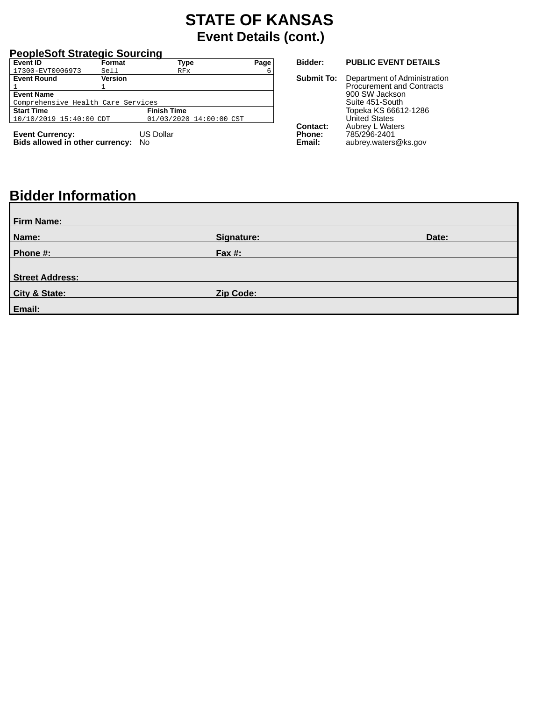### **PeopleSoft Strategic Sourcing**

| Event ID                           | Format         | <b>Type</b>             | Page |
|------------------------------------|----------------|-------------------------|------|
| 17300-EVT0006973                   | Sell           | RFx                     | 6    |
| <b>Event Round</b>                 | <b>Version</b> |                         |      |
|                                    |                |                         |      |
| <b>Event Name</b>                  |                |                         |      |
| Comprehensive Health Care Services |                |                         |      |
| <b>Start Time</b>                  |                | <b>Finish Time</b>      |      |
| 10/10/2019 15:40:00 CDT            |                | 01/03/2020 14:00:00 CST |      |
| <b>Event Currency:</b>             |                | <b>US Dollar</b>        |      |

**Bids allowed in other currency:** No

#### **Bidder: PUBLIC EVENT DETAILS**

**Submit To:** Department of Administration Procurement and Contracts 900 SW Jackson Suite 451-South Topeka KS 66612-1286 United States **Contact:** Aubrey L Waters **Phone:** 785/296-2401 **Email:** aubrey.waters@ks.gov

# **Bidder Information**

| <b>Firm Name:</b>      |            |       |
|------------------------|------------|-------|
| Name:                  | Signature: | Date: |
| Phone #:               | Fax $#$ :  |       |
| <b>Street Address:</b> |            |       |
| City & State:          | Zip Code:  |       |
| Email:                 |            |       |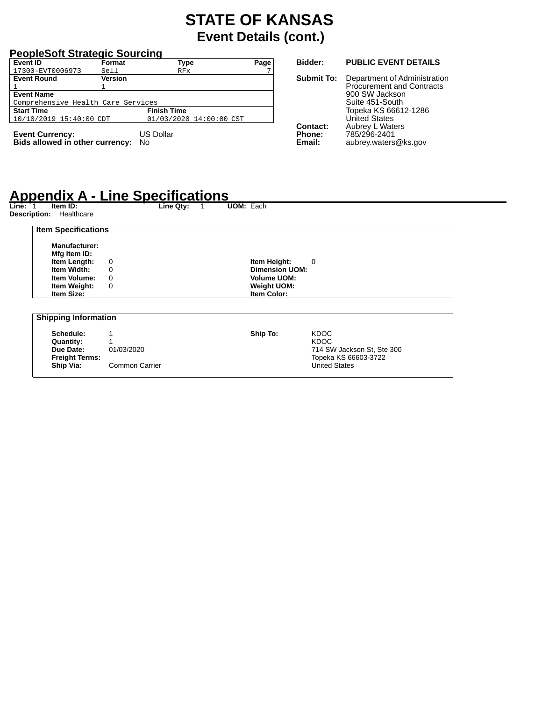### **PeopleSoft Strategic Sourcing**

| <b>Event ID</b>                    | Format         | Type                    | Page |
|------------------------------------|----------------|-------------------------|------|
| 17300-EVT0006973                   | Sell           | RFx                     |      |
| <b>Event Round</b>                 | <b>Version</b> |                         |      |
|                                    |                |                         |      |
| <b>Event Name</b>                  |                |                         |      |
| Comprehensive Health Care Services |                |                         |      |
| <b>Start Time</b>                  |                | <b>Finish Time</b>      |      |
| 10/10/2019 15:40:00 CDT            |                | 01/03/2020 14:00:00 CST |      |
|                                    |                |                         |      |
| <b>Event Currency:</b>             |                | <b>US Dollar</b>        |      |

**Bids allowed in other currency:** No

#### **Bidder: PUBLIC EVENT DETAILS**

**Submit To:** Department of Administration Procurement and Contracts 900 SW Jackson Suite 451-South Topeka KS 66612-1286 United States **Contact:** Aubrey L Waters<br>Phone: 785/296-2401 **Phone:** 785/296-2401<br> **Email:** aubrey.waters **Email:** aubrey.waters@ks.gov

# **Appendix A - Line Specifications Line:** 1 **Item ID: Line Qty:** 1 **UOM:** Each

| <b>Item Specifications</b>  |             |          |                       |                            |
|-----------------------------|-------------|----------|-----------------------|----------------------------|
| Manufacturer:               |             |          |                       |                            |
| Mfg Item ID:                |             |          |                       |                            |
| Item Length:                | 0           |          | Item Height:<br>0     |                            |
| Item Width:                 | 0           |          | <b>Dimension UOM:</b> |                            |
| <b>Item Volume:</b>         | 0           |          | <b>Volume UOM:</b>    |                            |
| Item Weight:                | $\mathbf 0$ |          | <b>Weight UOM:</b>    |                            |
| <b>Item Size:</b>           |             |          | <b>Item Color:</b>    |                            |
|                             |             |          |                       |                            |
| <b>Shipping Information</b> |             |          |                       |                            |
| Schedule:                   |             |          |                       | <b>KDOC</b>                |
| Quantity:                   |             | Ship To: |                       | <b>KDOC</b>                |
| Due Date:                   | 01/03/2020  |          |                       | 714 SW Jackson St, Ste 300 |
| <b>Freight Terms:</b>       |             |          |                       | Topeka KS 66603-3722       |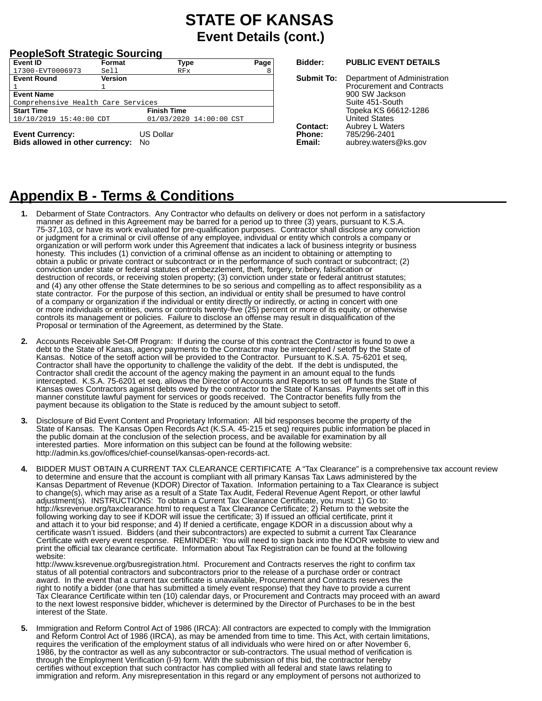### **PeopleSoft Strategic Sourcing**

| Event ID                           | Format  | <b>Type</b>             | Page |
|------------------------------------|---------|-------------------------|------|
| 17300-EVT0006973                   | Sell    | RFx                     | 8    |
| <b>Event Round</b>                 | Version |                         |      |
|                                    |         |                         |      |
| <b>Event Name</b>                  |         |                         |      |
| Comprehensive Health Care Services |         |                         |      |
| <b>Start Time</b>                  |         | <b>Finish Time</b>      |      |
| 10/10/2019 15:40:00 CDT            |         | 01/03/2020 14:00:00 CST |      |
| $F_{i}$                            |         | $1100$ Delley           |      |

**Event Currency:** US Dollar **Bids allowed in other currency:** No

#### **Bidder: PUBLIC EVENT DETAILS**

**Submit To:** Department of Administration Procurement and Contracts 900 SW Jackson Suite 451-South Topeka KS 66612-1286 United States **Contact:** Aubrey L Waters<br>**Phone:** 785/296-2401 **Phone:** 785/296-2401<br>**Fmail:** aubrey waters **Email:** aubrey.waters@ks.gov

# **Appendix B - Terms & Conditions**

- **1.** Debarment of State Contractors. Any Contractor who defaults on delivery or does not perform in a satisfactory manner as defined in this Agreement may be barred for a period up to three (3) years, pursuant to K.S.A. 75-37,103, or have its work evaluated for pre-qualification purposes. Contractor shall disclose any conviction or judgment for a criminal or civil offense of any employee, individual or entity which controls a company or organization or will perform work under this Agreement that indicates a lack of business integrity or business honesty. This includes (1) conviction of a criminal offense as an incident to obtaining or attempting to obtain a public or private contract or subcontract or in the performance of such contract or subcontract; (2) conviction under state or federal statutes of embezzlement, theft, forgery, bribery, falsification or destruction of records, or receiving stolen property; (3) conviction under state or federal antitrust statutes; and (4) any other offense the State determines to be so serious and compelling as to affect responsibility as a state contractor. For the purpose of this section, an individual or entity shall be presumed to have control of a company or organization if the individual or entity directly or indirectly, or acting in concert with one or more individuals or entities, owns or controls twenty-five (25) percent or more of its equity, or otherwise controls its management or policies. Failure to disclose an offense may result in disqualification of the Proposal or termination of the Agreement, as determined by the State.
- **2.** Accounts Receivable Set-Off Program: If during the course of this contract the Contractor is found to owe a debt to the State of Kansas, agency payments to the Contractor may be intercepted / setoff by the State of Kansas. Notice of the setoff action will be provided to the Contractor. Pursuant to K.S.A. 75-6201 et seq, Contractor shall have the opportunity to challenge the validity of the debt. If the debt is undisputed, the Contractor shall credit the account of the agency making the payment in an amount equal to the funds intercepted. K.S.A. 75-6201 et seq. allows the Director of Accounts and Reports to set off funds the State of Kansas owes Contractors against debts owed by the contractor to the State of Kansas. Payments set off in this manner constitute lawful payment for services or goods received. The Contractor benefits fully from the payment because its obligation to the State is reduced by the amount subject to setoff.
- **3.** Disclosure of Bid Event Content and Proprietary Information: All bid responses become the property of the State of Kansas. The Kansas Open Records Act (K.S.A. 45-215 et seq) requires public information be placed in the public domain at the conclusion of the selection process, and be available for examination by all interested parties. More information on this subject can be found at the following website: http://admin.ks.gov/offices/chief-counsel/kansas-open-records-act.
- **4.** BIDDER MUST OBTAIN A CURRENT TAX CLEARANCE CERTIFICATE A "Tax Clearance" is a comprehensive tax account review to determine and ensure that the account is compliant with all primary Kansas Tax Laws administered by the Kansas Department of Revenue (KDOR) Director of Taxation. Information pertaining to a Tax Clearance is subject to change(s), which may arise as a result of a State Tax Audit, Federal Revenue Agent Report, or other lawful adjustment(s). INSTRUCTIONS: To obtain a Current Tax Clearance Certificate, you must: 1) Go to: http://ksrevenue.org/taxclearance.html to request a Tax Clearance Certificate; 2) Return to the website the following working day to see if KDOR will issue the certificate; 3) If issued an official certificate, print it and attach it to your bid response; and 4) If denied a certificate, engage KDOR in a discussion about why a certificate wasn't issued. Bidders (and their subcontractors) are expected to submit a current Tax Clearance Certificate with every event response. REMINDER: You will need to sign back into the KDOR website to view and print the official tax clearance certificate. Information about Tax Registration can be found at the following website:

http://www.ksrevenue.org/busregistration.html. Procurement and Contracts reserves the right to confirm tax status of all potential contractors and subcontractors prior to the release of a purchase order or contract award. In the event that a current tax certificate is unavailable, Procurement and Contracts reserves the right to notify a bidder (one that has submitted a timely event response) that they have to provide a current Tax Clearance Certificate within ten (10) calendar days, or Procurement and Contracts may proceed with an award to the next lowest responsive bidder, whichever is determined by the Director of Purchases to be in the best interest of the State.

**5.** Immigration and Reform Control Act of 1986 (IRCA): All contractors are expected to comply with the Immigration and Reform Control Act of 1986 (IRCA), as may be amended from time to time. This Act, with certain limitations, requires the verification of the employment status of all individuals who were hired on or after November 6, 1986, by the contractor as well as any subcontractor or sub-contractors. The usual method of verification is through the Employment Verification (I-9) form. With the submission of this bid, the contractor hereby certifies without exception that such contractor has complied with all federal and state laws relating to immigration and reform. Any misrepresentation in this regard or any employment of persons not authorized to